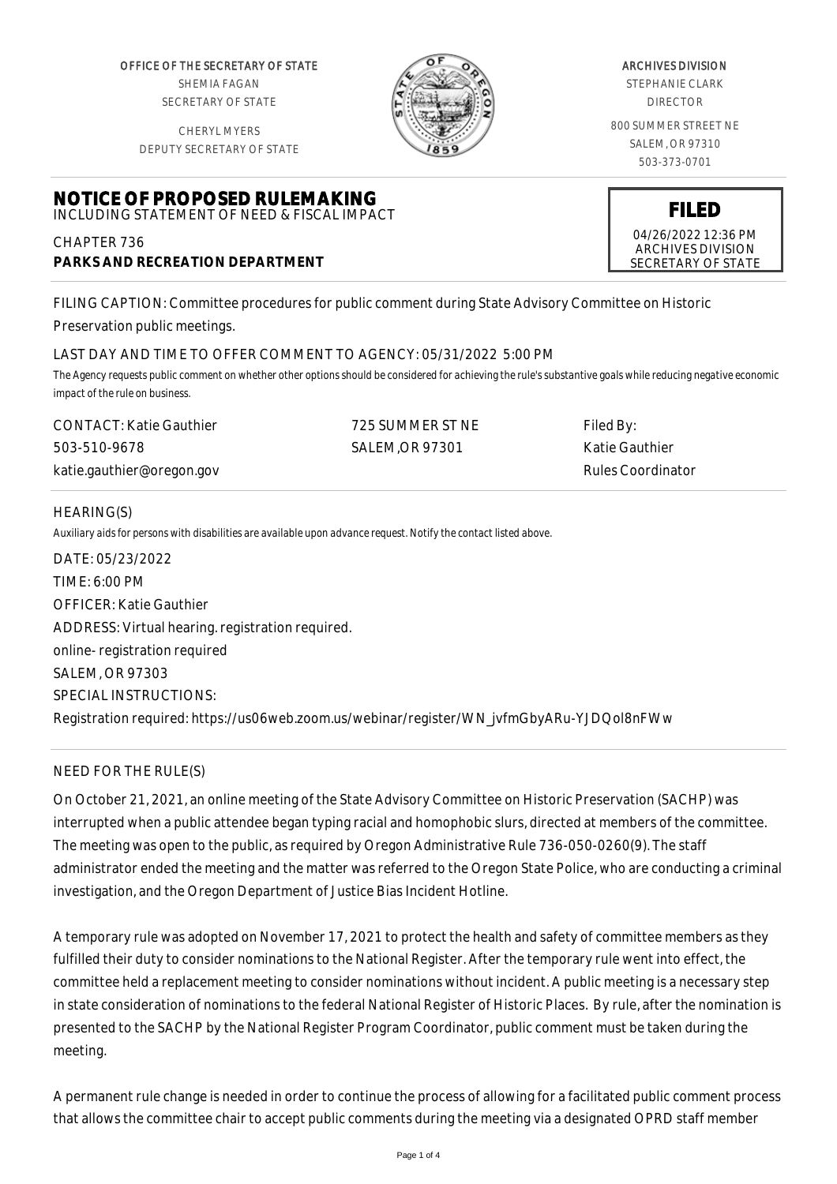OFFICE OF THE SECRETARY OF STATE SHEMIA FAGAN SECRETARY OF STATE

CHERYL MYERS



#### ARCHIVES DIVISION

STEPHANIE CLARK DIRECTOR

800 SUMMER STREET NE SALEM, OR 97310 503-373-0701

> **FILED** 04/26/2022 12:36 PM ARCHIVES DIVISION SECRETARY OF STATE

DEPUTY SECRETARY OF STATE

# **NOTICE OF PROPOSED RULEMAKING** INCLUDING STATEMENT OF NEED & FISCAL IMPACT

CHAPTER 736 **PARKS AND RECREATION DEPARTMENT**

FILING CAPTION: Committee procedures for public comment during State Advisory Committee on Historic Preservation public meetings.

# LAST DAY AND TIME TO OFFER COMMENT TO AGENCY: 05/31/2022 5:00 PM

*The Agency requests public comment on whether other options should be considered for achieving the rule's substantive goals while reducing negative economic impact of the rule on business.*

| <b>CONTACT: Katie Gauthier</b> | 725 SUMMER ST NE | Filed By:         |
|--------------------------------|------------------|-------------------|
| 503-510-9678                   | SALEM.OR 97301   | Katie Gauthier    |
| katie.gauthier@oregon.gov      |                  | Rules Coordinator |

### HEARING(S)

*Auxiliary aids for persons with disabilities are available upon advance request. Notify the contact listed above.*

| DATE: 05/23/2022                                                                          |
|-------------------------------------------------------------------------------------------|
| TIME: 6:00 PM                                                                             |
| <b>OFFICER: Katie Gauthier</b>                                                            |
| ADDRESS: Virtual hearing. registration required.                                          |
| online-registration required                                                              |
| SALEM, OR 97303                                                                           |
| SPECIAL INSTRUCTIONS:                                                                     |
| Registration required: https://us06web.zoom.us/webinar/register/WN_jvfmGbyARu-YJDQol8nFWw |

# NEED FOR THE RULE(S)

On October 21, 2021, an online meeting of the State Advisory Committee on Historic Preservation (SACHP) was interrupted when a public attendee began typing racial and homophobic slurs, directed at members of the committee. The meeting was open to the public, as required by Oregon Administrative Rule 736-050-0260(9). The staff administrator ended the meeting and the matter was referred to the Oregon State Police, who are conducting a criminal investigation, and the Oregon Department of Justice Bias Incident Hotline.

A temporary rule was adopted on November 17, 2021 to protect the health and safety of committee members as they fulfilled their duty to consider nominations to the National Register. After the temporary rule went into effect, the committee held a replacement meeting to consider nominations without incident. A public meeting is a necessary step in state consideration of nominations to the federal National Register of Historic Places. By rule, after the nomination is presented to the SACHP by the National Register Program Coordinator, public comment must be taken during the meeting.

A permanent rule change is needed in order to continue the process of allowing for a facilitated public comment process that allows the committee chair to accept public comments during the meeting via a designated OPRD staff member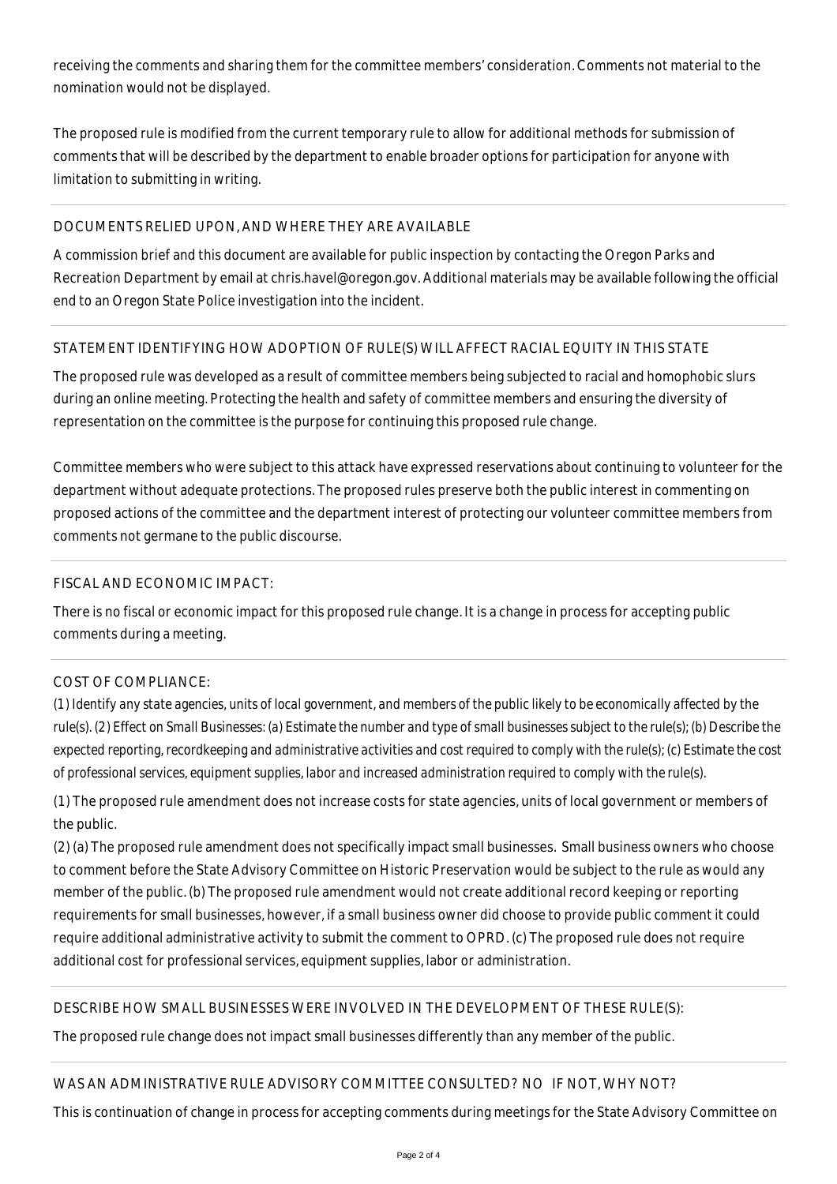receiving the comments and sharing them for the committee members' consideration. Comments not material to the nomination would not be displayed.

The proposed rule is modified from the current temporary rule to allow for additional methods for submission of comments that will be described by the department to enable broader options for participation for anyone with limitation to submitting in writing.

# DOCUMENTS RELIED UPON, AND WHERE THEY ARE AVAILABLE

A commission brief and this document are available for public inspection by contacting the Oregon Parks and Recreation Department by email at chris.havel@oregon.gov. Additional materials may be available following the official end to an Oregon State Police investigation into the incident.

### STATEMENT IDENTIFYING HOW ADOPTION OF RULE(S) WILL AFFECT RACIAL EQUITY IN THIS STATE

The proposed rule was developed as a result of committee members being subjected to racial and homophobic slurs during an online meeting. Protecting the health and safety of committee members and ensuring the diversity of representation on the committee is the purpose for continuing this proposed rule change.

Committee members who were subject to this attack have expressed reservations about continuing to volunteer for the department without adequate protections. The proposed rules preserve both the public interest in commenting on proposed actions of the committee and the department interest of protecting our volunteer committee members from comments not germane to the public discourse.

### FISCAL AND ECONOMIC IMPACT:

There is no fiscal or economic impact for this proposed rule change. It is a change in process for accepting public comments during a meeting.

# COST OF COMPLIANCE:

*(1) Identify any state agencies, units of local government, and members of the public likely to be economically affected by the rule(s). (2) Effect on Small Businesses: (a) Estimate the number and type of small businesses subject to the rule(s); (b) Describe the expected reporting, recordkeeping and administrative activities and cost required to comply with the rule(s); (c) Estimate the cost of professional services, equipment supplies, labor and increased administration required to comply with the rule(s).*

(1) The proposed rule amendment does not increase costs for state agencies, units of local government or members of the public.

(2) (a) The proposed rule amendment does not specifically impact small businesses. Small business owners who choose to comment before the State Advisory Committee on Historic Preservation would be subject to the rule as would any member of the public. (b) The proposed rule amendment would not create additional record keeping or reporting requirements for small businesses, however, if a small business owner did choose to provide public comment it could require additional administrative activity to submit the comment to OPRD. (c) The proposed rule does not require additional cost for professional services, equipment supplies, labor or administration.

# DESCRIBE HOW SMALL BUSINESSES WERE INVOLVED IN THE DEVELOPMENT OF THESE RULE(S):

The proposed rule change does not impact small businesses differently than any member of the public.

# WAS AN ADMINISTRATIVE RULE ADVISORY COMMITTEE CONSULTED? NO IF NOT, WHY NOT?

This is continuation of change in process for accepting comments during meetings for the State Advisory Committee on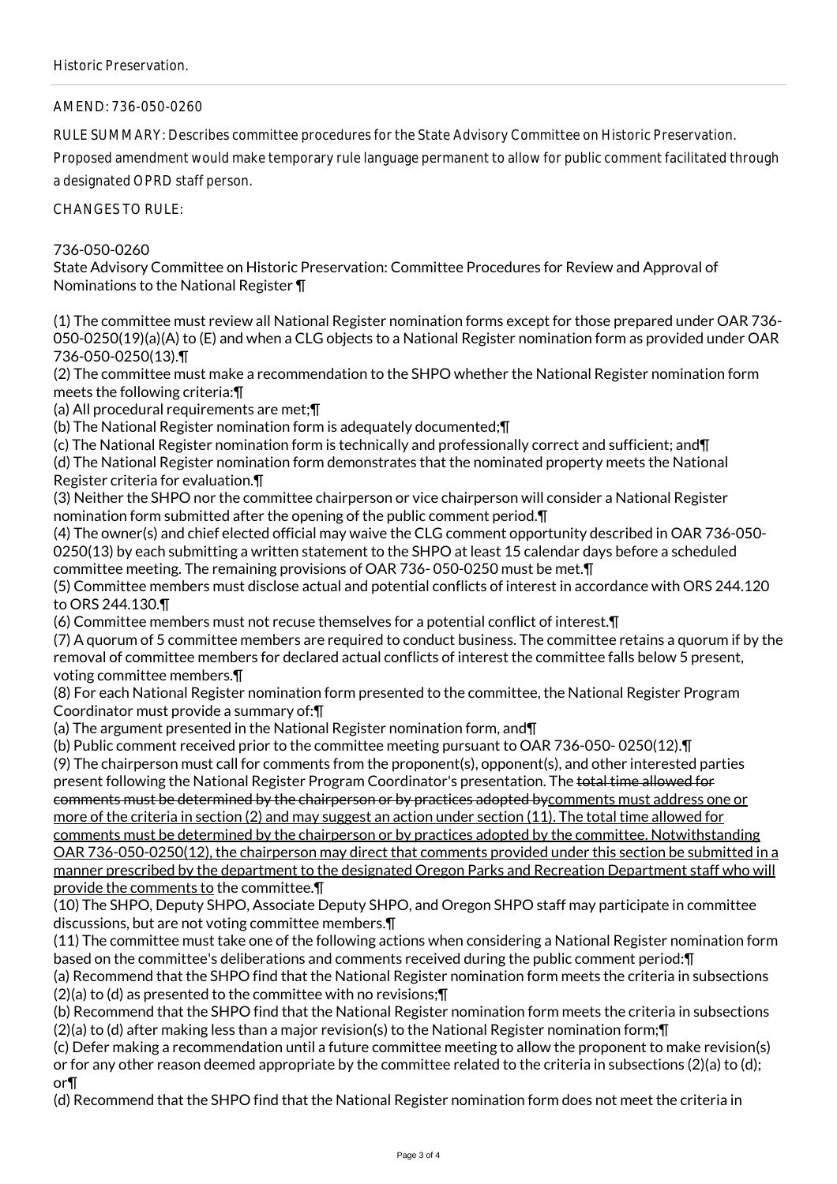AMEND: 736-050-0260

RULE SUMMARY: Describes committee procedures for the State Advisory Committee on Historic Preservation.

Proposed amendment would make temporary rule language permanent to allow for public comment facilitated through a designated OPRD staff person.

CHANGES TO RULE:

# 736-050-0260

State Advisory Committee on Historic Preservation: Committee Procedures for Review and Approval of Nominations to the National Register ¶

(1) The committee must review all National Register nomination forms except for those prepared under OAR 736- 050-0250(19)(a)(A) to (E) and when a CLG objects to a National Register nomination form as provided under OAR 736-050-0250(13).¶

(2) The committee must make a recommendation to the SHPO whether the National Register nomination form meets the following criteria:¶

(a) All procedural requirements are met;¶

(b) The National Register nomination form is adequately documented;¶

(c) The National Register nomination form is technically and professionally correct and sufficient; and¶

(d) The National Register nomination form demonstrates that the nominated property meets the National Register criteria for evaluation.¶

(3) Neither the SHPO nor the committee chairperson or vice chairperson will consider a National Register nomination form submitted after the opening of the public comment period.¶

(4) The owner(s) and chief elected official may waive the CLG comment opportunity described in OAR 736-050- 0250(13) by each submitting a written statement to the SHPO at least 15 calendar days before a scheduled committee meeting. The remaining provisions of OAR 736- 050-0250 must be met.¶

(5) Committee members must disclose actual and potential conflicts of interest in accordance with ORS 244.120 to ORS 244.130.¶

(6) Committee members must not recuse themselves for a potential conflict of interest.¶

(7) A quorum of 5 committee members are required to conduct business. The committee retains a quorum if by the removal of committee members for declared actual conflicts of interest the committee falls below 5 present, voting committee members.¶

(8) For each National Register nomination form presented to the committee, the National Register Program Coordinator must provide a summary of:¶

(a) The argument presented in the National Register nomination form, and¶

(b) Public comment received prior to the committee meeting pursuant to OAR 736-050- 0250(12).¶

(9) The chairperson must call for comments from the proponent(s), opponent(s), and other interested parties present following the National Register Program Coordinator's presentation. The total time allowed for

comments must be determined by the chairperson or by practices adopted bycomments must address one or more of the criteria in section (2) and may suggest an action under section (11). The total time allowed for

comments must be determined by the chairperson or by practices adopted by the committee. Notwithstanding OAR 736-050-0250(12), the chairperson may direct that comments provided under this section be submitted in a manner prescribed by the department to the designated Oregon Parks and Recreation Department staff who will provide the comments to the committee.¶

(10) The SHPO, Deputy SHPO, Associate Deputy SHPO, and Oregon SHPO staff may participate in committee discussions, but are not voting committee members.¶

(11) The committee must take one of the following actions when considering a National Register nomination form based on the committee's deliberations and comments received during the public comment period:¶

(a) Recommend that the SHPO find that the National Register nomination form meets the criteria in subsections (2)(a) to (d) as presented to the committee with no revisions;¶

(b) Recommend that the SHPO find that the National Register nomination form meets the criteria in subsections (2)(a) to (d) after making less than a major revision(s) to the National Register nomination form;¶

(c) Defer making a recommendation until a future committee meeting to allow the proponent to make revision(s) or for any other reason deemed appropriate by the committee related to the criteria in subsections (2)(a) to (d); or¶

(d) Recommend that the SHPO find that the National Register nomination form does not meet the criteria in